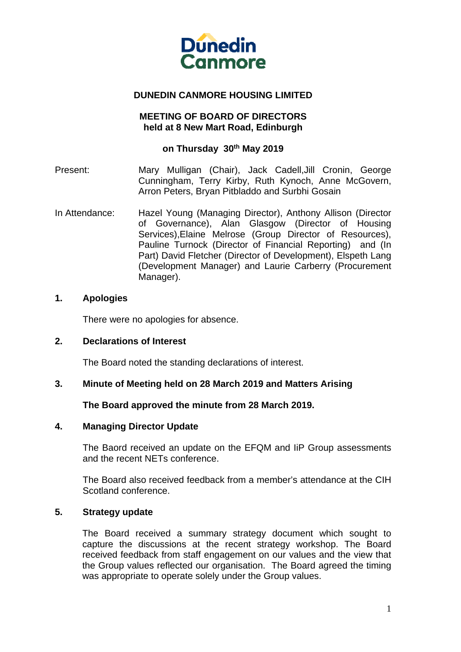

### **DUNEDIN CANMORE HOUSING LIMITED**

#### **MEETING OF BOARD OF DIRECTORS held at 8 New Mart Road, Edinburgh**

#### **on Thursday 30th May 2019**

- Present: Mary Mulligan (Chair), Jack Cadell,Jill Cronin, George Cunningham, Terry Kirby, Ruth Kynoch, Anne McGovern, Arron Peters, Bryan Pitbladdo and Surbhi Gosain
- In Attendance: Hazel Young (Managing Director), Anthony Allison (Director of Governance), Alan Glasgow (Director of Housing Services),Elaine Melrose (Group Director of Resources), Pauline Turnock (Director of Financial Reporting) and (In Part) David Fletcher (Director of Development), Elspeth Lang (Development Manager) and Laurie Carberry (Procurement Manager).

#### **1. Apologies**

There were no apologies for absence.

#### **2. Declarations of Interest**

The Board noted the standing declarations of interest.

#### **3. Minute of Meeting held on 28 March 2019 and Matters Arising**

#### **The Board approved the minute from 28 March 2019.**

#### **4. Managing Director Update**

The Baord received an update on the EFQM and IiP Group assessments and the recent NETs conference.

The Board also received feedback from a member's attendance at the CIH Scotland conference.

#### **5. Strategy update**

 The Board received a summary strategy document which sought to capture the discussions at the recent strategy workshop. The Board received feedback from staff engagement on our values and the view that the Group values reflected our organisation. The Board agreed the timing was appropriate to operate solely under the Group values.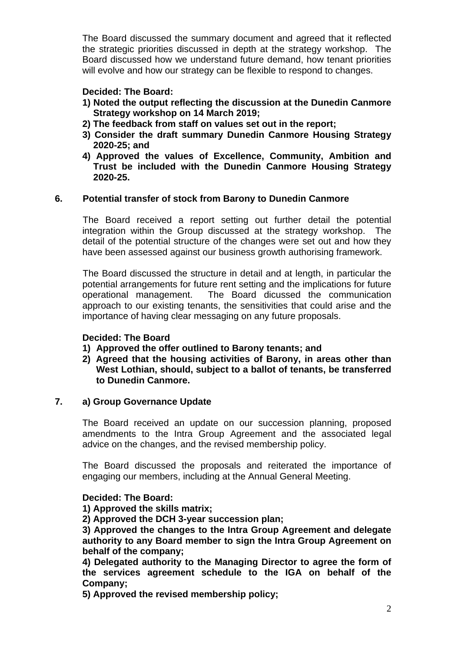The Board discussed the summary document and agreed that it reflected the strategic priorities discussed in depth at the strategy workshop. The Board discussed how we understand future demand, how tenant priorities will evolve and how our strategy can be flexible to respond to changes.

# **Decided: The Board:**

- **1) Noted the output reflecting the discussion at the Dunedin Canmore Strategy workshop on 14 March 2019;**
- **2) The feedback from staff on values set out in the report;**
- **3) Consider the draft summary Dunedin Canmore Housing Strategy 2020-25; and**
- **4) Approved the values of Excellence, Community, Ambition and Trust be included with the Dunedin Canmore Housing Strategy 2020-25.**

## **6. Potential transfer of stock from Barony to Dunedin Canmore**

The Board received a report setting out further detail the potential integration within the Group discussed at the strategy workshop. The detail of the potential structure of the changes were set out and how they have been assessed against our business growth authorising framework.

The Board discussed the structure in detail and at length, in particular the potential arrangements for future rent setting and the implications for future operational management. The Board dicussed the communication approach to our existing tenants, the sensitivities that could arise and the importance of having clear messaging on any future proposals.

## **Decided: The Board**

- **1) Approved the offer outlined to Barony tenants; and**
- **2) Agreed that the housing activities of Barony, in areas other than West Lothian, should, subject to a ballot of tenants, be transferred to Dunedin Canmore.**

## **7. a) Group Governance Update**

The Board received an update on our succession planning, proposed amendments to the Intra Group Agreement and the associated legal advice on the changes, and the revised membership policy.

 The Board discussed the proposals and reiterated the importance of engaging our members, including at the Annual General Meeting.

## **Decided: The Board:**

 **1) Approved the skills matrix;** 

 **2) Approved the DCH 3-year succession plan;** 

**3) Approved the changes to the Intra Group Agreement and delegate authority to any Board member to sign the Intra Group Agreement on behalf of the company;** 

**4) Delegated authority to the Managing Director to agree the form of the services agreement schedule to the IGA on behalf of the Company;** 

**5) Approved the revised membership policy;**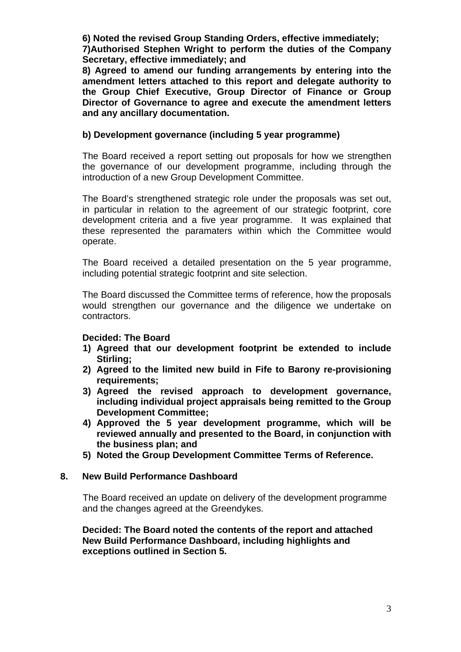**6) Noted the revised Group Standing Orders, effective immediately; 7)Authorised Stephen Wright to perform the duties of the Company Secretary, effective immediately; and** 

**8) Agreed to amend our funding arrangements by entering into the amendment letters attached to this report and delegate authority to the Group Chief Executive, Group Director of Finance or Group Director of Governance to agree and execute the amendment letters and any ancillary documentation.** 

# **b) Development governance (including 5 year programme)**

The Board received a report setting out proposals for how we strengthen the governance of our development programme, including through the introduction of a new Group Development Committee.

The Board's strengthened strategic role under the proposals was set out, in particular in relation to the agreement of our strategic footprint, core development criteria and a five year programme. It was explained that these represented the paramaters within which the Committee would operate.

The Board received a detailed presentation on the 5 year programme, including potential strategic footprint and site selection.

The Board discussed the Committee terms of reference, how the proposals would strengthen our governance and the diligence we undertake on contractors.

## **Decided: The Board**

- **1) Agreed that our development footprint be extended to include Stirling;**
- **2) Agreed to the limited new build in Fife to Barony re-provisioning requirements;**
- **3) Agreed the revised approach to development governance, including individual project appraisals being remitted to the Group Development Committee;**
- **4) Approved the 5 year development programme, which will be reviewed annually and presented to the Board, in conjunction with the business plan; and**
- **5) Noted the Group Development Committee Terms of Reference.**

## **8. New Build Performance Dashboard**

The Board received an update on delivery of the development programme and the changes agreed at the Greendykes.

**Decided: The Board noted the contents of the report and attached New Build Performance Dashboard, including highlights and exceptions outlined in Section 5.**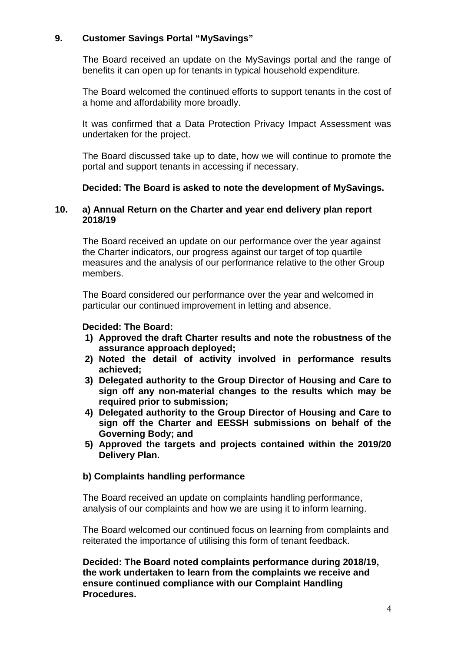# **9. Customer Savings Portal "MySavings"**

The Board received an update on the MySavings portal and the range of benefits it can open up for tenants in typical household expenditure.

The Board welcomed the continued efforts to support tenants in the cost of a home and affordability more broadly.

It was confirmed that a Data Protection Privacy Impact Assessment was undertaken for the project.

The Board discussed take up to date, how we will continue to promote the portal and support tenants in accessing if necessary.

## **Decided: The Board is asked to note the development of MySavings.**

#### **10. a) Annual Return on the Charter and year end delivery plan report 2018/19**

The Board received an update on our performance over the year against the Charter indicators, our progress against our target of top quartile measures and the analysis of our performance relative to the other Group members.

The Board considered our performance over the year and welcomed in particular our continued improvement in letting and absence.

### **Decided: The Board:**

- **1) Approved the draft Charter results and note the robustness of the assurance approach deployed;**
- **2) Noted the detail of activity involved in performance results achieved;**
- **3) Delegated authority to the Group Director of Housing and Care to sign off any non-material changes to the results which may be required prior to submission;**
- **4) Delegated authority to the Group Director of Housing and Care to sign off the Charter and EESSH submissions on behalf of the Governing Body; and**
- **5) Approved the targets and projects contained within the 2019/20 Delivery Plan.**

#### **b) Complaints handling performance**

The Board received an update on complaints handling performance, analysis of our complaints and how we are using it to inform learning.

The Board welcomed our continued focus on learning from complaints and reiterated the importance of utilising this form of tenant feedback.

**Decided: The Board noted complaints performance during 2018/19, the work undertaken to learn from the complaints we receive and ensure continued compliance with our Complaint Handling Procedures.**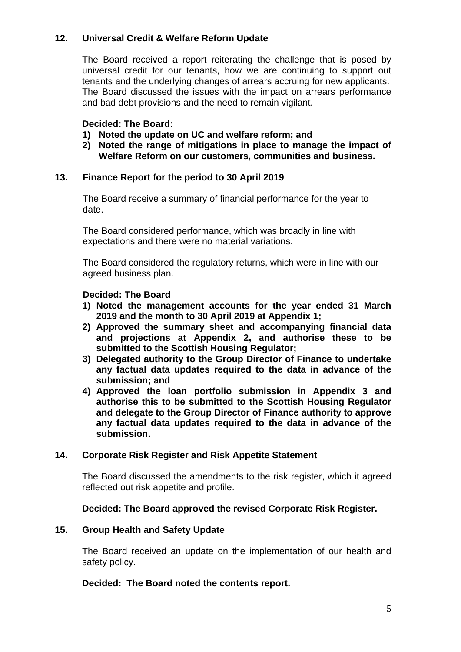# **12. Universal Credit & Welfare Reform Update**

 The Board received a report reiterating the challenge that is posed by universal credit for our tenants, how we are continuing to support out tenants and the underlying changes of arrears accruing for new applicants. The Board discussed the issues with the impact on arrears performance and bad debt provisions and the need to remain vigilant.

## **Decided: The Board:**

- **1) Noted the update on UC and welfare reform; and**
- **2) Noted the range of mitigations in place to manage the impact of Welfare Reform on our customers, communities and business.**

## **13. Finance Report for the period to 30 April 2019**

The Board receive a summary of financial performance for the year to date.

The Board considered performance, which was broadly in line with expectations and there were no material variations.

The Board considered the regulatory returns, which were in line with our agreed business plan.

#### **Decided: The Board**

- **1) Noted the management accounts for the year ended 31 March 2019 and the month to 30 April 2019 at Appendix 1;**
- **2) Approved the summary sheet and accompanying financial data and projections at Appendix 2, and authorise these to be submitted to the Scottish Housing Regulator;**
- **3) Delegated authority to the Group Director of Finance to undertake any factual data updates required to the data in advance of the submission; and**
- **4) Approved the loan portfolio submission in Appendix 3 and authorise this to be submitted to the Scottish Housing Regulator and delegate to the Group Director of Finance authority to approve any factual data updates required to the data in advance of the submission.**

#### **14. Corporate Risk Register and Risk Appetite Statement**

The Board discussed the amendments to the risk register, which it agreed reflected out risk appetite and profile.

#### **Decided: The Board approved the revised Corporate Risk Register.**

## **15. Group Health and Safety Update**

The Board received an update on the implementation of our health and safety policy.

 **Decided: The Board noted the contents report.**